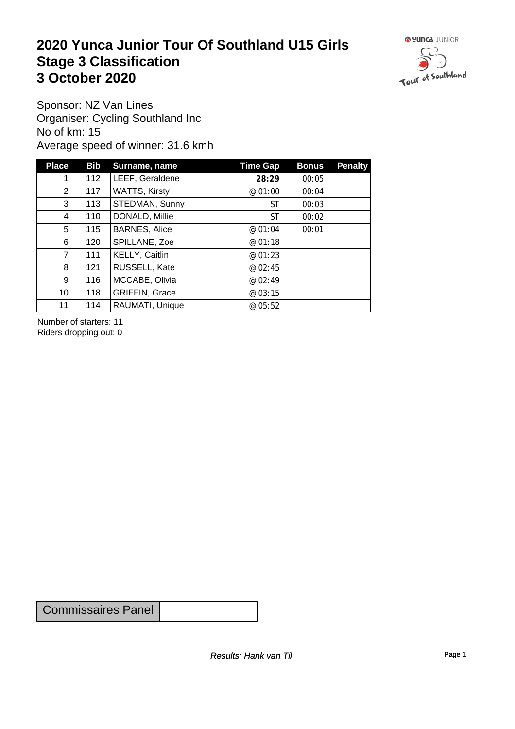### **2020 Yunca Junior Tour Of Southland U15 Girls** Stage 3 Classification<br>
3 October 2020 **3 October 2020**



Sponsor: NZ Van Lines Organiser: Cycling Southland Inc No of km: 15 Average speed of winner: 31.6 kmh

| <b>Place</b>    | <b>Bib</b> | Surname, name         | Time Gap  | <b>Bonus</b> | <b>Penalty</b> |
|-----------------|------------|-----------------------|-----------|--------------|----------------|
|                 | 112        | LEEF, Geraldene       | 28:29     | 00:05        |                |
| 2               | 117        | <b>WATTS, Kirsty</b>  | @ 01:00   | 00:04        |                |
| 3               | 113        | STEDMAN, Sunny        | <b>ST</b> | 00:03        |                |
| 4               | 110        | DONALD, Millie        | <b>ST</b> | 00:02        |                |
| 5               | 115        | <b>BARNES, Alice</b>  | @ 01:04   | 00:01        |                |
| 6               | 120        | SPILLANE, Zoe         | @ 01:18   |              |                |
| 7               | 111        | KELLY, Caitlin        | @ 01:23   |              |                |
| 8               | 121        | RUSSELL, Kate         | @ 02:45   |              |                |
| 9 <sup>1</sup>  | 116        | MCCABE, Olivia        | @ 02:49   |              |                |
| 10 <sub>1</sub> | 118        | <b>GRIFFIN, Grace</b> | @ 03:15   |              |                |
| 11              | 114        | RAUMATI, Unique       | @ 05:52   |              |                |

Number of starters: 11 Riders dropping out: 0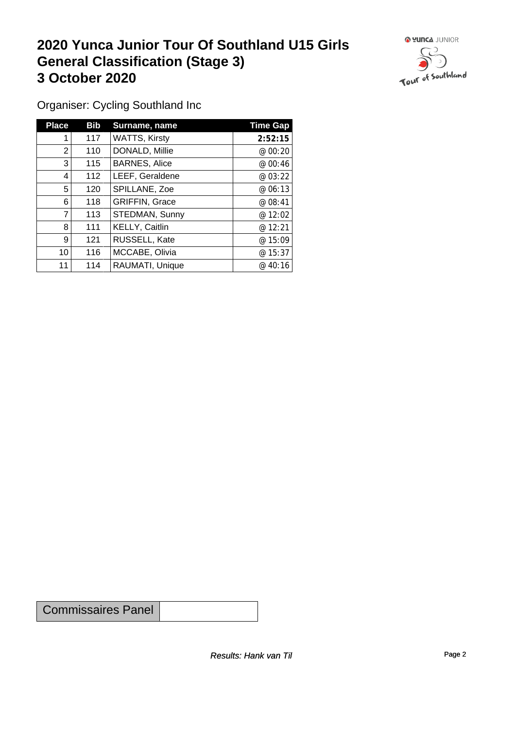### **2020 Yunca Junior Tour Of Southland U15 Girls General Classification (Stage 3)**<br> **3 October 2020 3 October 2020**



Organiser: Cycling Southland Inc

| <b>Place</b>    | Bib | Surname, name         | <b>Time Gap</b> |
|-----------------|-----|-----------------------|-----------------|
|                 | 117 | <b>WATTS, Kirsty</b>  | 2:52:15         |
| $\overline{2}$  | 110 | DONALD, Millie        | @ 00:20         |
| 3               | 115 | <b>BARNES, Alice</b>  | @00:46          |
| 4               | 112 | LEEF, Geraldene       | @03:22          |
| 5               | 120 | SPILLANE, Zoe         | @06:13          |
| 6               | 118 | <b>GRIFFIN, Grace</b> | @ 08:41         |
| $\overline{7}$  | 113 | STEDMAN, Sunny        | @ 12:02         |
| 8               | 111 | KELLY, Caitlin        | @ 12:21         |
| 9               | 121 | RUSSELL, Kate         | @ 15:09         |
| 10 <sup>1</sup> | 116 | MCCABE, Olivia        | @15:37          |
| 11              | 114 | RAUMATI, Unique       | @ $40:16$       |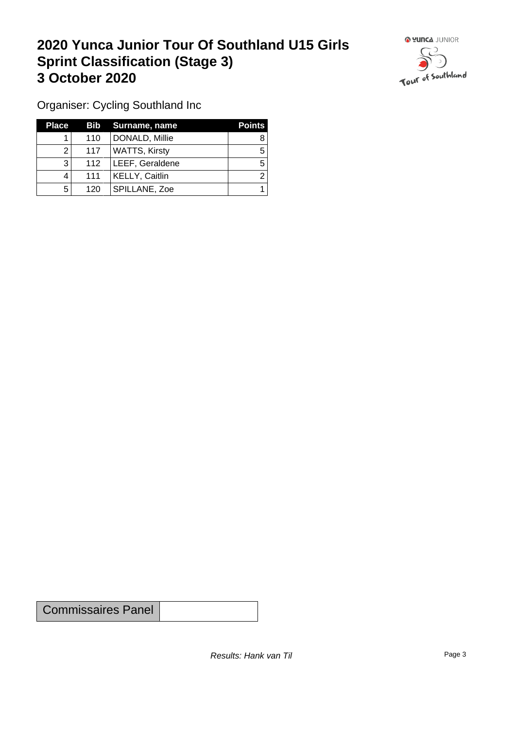### **2020 Yunca Junior Tour Of Southland U15 Girls Sprint Classification (Stage 3) 3 October 2020**



Organiser: Cycling Southland Inc

| <b>Place</b> |     | Bib Surname, name    | <b>Points</b> |
|--------------|-----|----------------------|---------------|
|              | 110 | DONALD, Millie       |               |
| ◠            | 117 | <b>WATTS, Kirsty</b> |               |
| 3            | 112 | LEEF, Geraldene      |               |
|              | 111 | KELLY, Caitlin       |               |
| 5            | 120 | SPILLANE, Zoe        |               |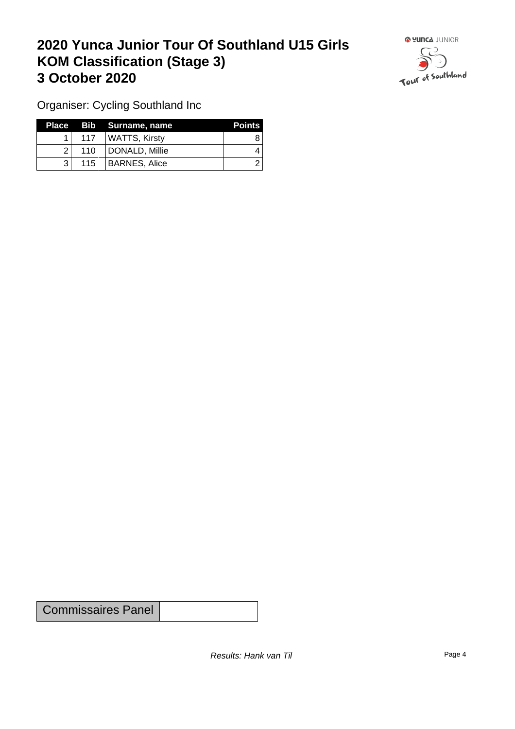## **2020 Yunca Junior Tour Of Southland U15 Girls KOM Classification (Stage 3) 3 October 2020 1999 1999 1999 1999 1999 1999 1999 1999 1999 1999 1999 1999 1999 1999 1999 1999 1999 1999 1999 1999 1999 1999 1999 1999 1999 1999 1999 1999 1999 1**



Organiser: Cycling Southland Inc

|    |                  | Place Bib Surname, name | <b>Points</b> |
|----|------------------|-------------------------|---------------|
|    | 117 <sup>1</sup> | WATTS, Kirsty           |               |
| 21 | 110              | DONALD, Millie          |               |
| থ  | 115              | BARNES, Alice           |               |